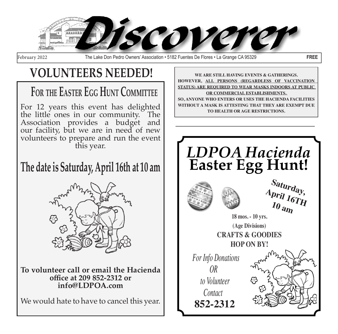

February 2022 The Lake Don Pedro Owners' Association • 5182 Fuentes De Flores • La Grange CA 95329 **FREE**

# **VOLUNTEERS NEEDED!**

# **For the Easter Egg Hunt Committee**

For 12 years this event has delighted the little ones in our community. The Association provides a budget and our facility, but we are in need of new volunteers to prepare and run the event this year.

## **The date is Saturday, April 16th at 10 am**



**To volunteer call or email the Hacienda office at 209 852-2312 or info@LDPOA.com** 

We would hate to have to cancel this year.

**WE ARE STILL HAVING EVENTS & GATHERINGS. HOWEVER, ALL PERSONS (REGARDLESS OF VACCINATION STATUS) ARE REQUIRED TO WEAR MASKS INDOORS AT PUBLIC OR COMMERCIAL ESTABLISHMENTS. SO, ANYONE WHO ENTERS OR USES THE HACIENDA FACILITIES WITHOUT A MASK IS ATTESTING THAT THEY ARE EXEMPT DUE TO HEALTH OR AGE RESTRICTIONS.** 

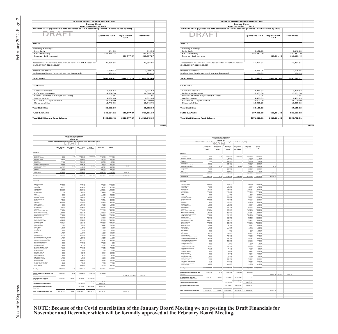|                                                                                             |                            |                          | LAKE DON PEDRO OWNERS ASSOCIATION       |                      |                                                                      |                                   |                     |                       |                    |                        |        |                                                                                                |                                                                 |                                                                         |                                   |                                   | LAKE DON PEDRO OWNERS ASSOCIATION  |                                   |                     |                                                           |                    |                        |  |
|---------------------------------------------------------------------------------------------|----------------------------|--------------------------|-----------------------------------------|----------------------|----------------------------------------------------------------------|-----------------------------------|---------------------|-----------------------|--------------------|------------------------|--------|------------------------------------------------------------------------------------------------|-----------------------------------------------------------------|-------------------------------------------------------------------------|-----------------------------------|-----------------------------------|------------------------------------|-----------------------------------|---------------------|-----------------------------------------------------------|--------------------|------------------------|--|
|                                                                                             |                            |                          |                                         | <b>Balance Sheet</b> | As of November 30, 2021                                              |                                   |                     |                       |                    |                        |        |                                                                                                |                                                                 |                                                                         |                                   | <b>Balance Sheet</b>              | As of December 31, 2021            |                                   |                     |                                                           |                    |                        |  |
| ACCRUAL BASIS (Quickbooks data converted to Fund Accounting Format - Not Reviewed by CPA)   |                            |                          |                                         |                      |                                                                      |                                   |                     |                       |                    |                        |        | ACCRUAL BASIS (Quickbooks data converted to Fund Accounting Format - Not Reviewed by CPA)      |                                                                 |                                                                         |                                   |                                   |                                    |                                   |                     |                                                           |                    |                        |  |
|                                                                                             |                            |                          |                                         |                      |                                                                      |                                   |                     |                       |                    |                        |        |                                                                                                |                                                                 |                                                                         |                                   |                                   |                                    |                                   |                     |                                                           |                    |                        |  |
|                                                                                             |                            |                          |                                         |                      |                                                                      | <b>Operations Fund</b>            | Replacement<br>Fund |                       | <b>Total Funds</b> |                        |        |                                                                                                |                                                                 |                                                                         |                                   |                                   |                                    | <b>Operations Fund</b>            | Replacement<br>Fund |                                                           | <b>Total Funds</b> |                        |  |
|                                                                                             |                            |                          |                                         |                      |                                                                      |                                   |                     |                       |                    |                        |        |                                                                                                |                                                                 |                                                                         |                                   |                                   |                                    |                                   |                     |                                                           |                    |                        |  |
| <b>ASSETS</b>                                                                               |                            |                          |                                         |                      |                                                                      |                                   |                     |                       |                    |                        |        | <b>ASSETS</b>                                                                                  |                                                                 |                                                                         |                                   |                                   |                                    |                                   |                     |                                                           |                    |                        |  |
| Checking & Savings                                                                          |                            |                          |                                         |                      |                                                                      |                                   |                     |                       |                    |                        |        | Checking & Savings                                                                             |                                                                 |                                                                         |                                   |                                   |                                    |                                   |                     |                                                           |                    |                        |  |
| Petty Cash                                                                                  |                            |                          |                                         |                      |                                                                      | 544.93                            |                     |                       |                    | 544.93<br>374,815.28   |        | Petty Cash                                                                                     |                                                                 |                                                                         |                                   |                                   |                                    | 2,146.65<br>350,882.70            |                     |                                                           | 350,882.70         | 2,146.65               |  |
| <b>BAC</b> - Operating<br>Reserve - BAC (savings)                                           |                            |                          |                                         |                      |                                                                      | 374,815.28                        | 616,577.27          |                       |                    | 616,577.27             |        | <b>BAC</b> - Operating<br>Reserve - BAC (savings)                                              |                                                                 |                                                                         |                                   |                                   |                                    |                                   |                     | 619,161.40                                                | 619,161.40         |                        |  |
|                                                                                             |                            |                          |                                         |                      |                                                                      |                                   |                     |                       |                    |                        |        |                                                                                                |                                                                 |                                                                         |                                   |                                   |                                    |                                   |                     |                                                           |                    |                        |  |
| Assessments Receivable, less Allowance for Doubtful Accounts<br>(\$141,079.87-\$120,182.91) |                            |                          |                                         |                      |                                                                      | 20,896.96                         |                     |                       |                    | 20,896.96              |        | Assessments Receivable, less Allowance for Doubtful Accounts<br>$( $141,079.87 - $120,182.91)$ |                                                                 |                                                                         |                                   |                                   |                                    | 15,351.91                         |                     |                                                           |                    | 15,351.91              |  |
|                                                                                             |                            |                          |                                         |                      |                                                                      |                                   |                     |                       |                    |                        |        |                                                                                                |                                                                 |                                                                         |                                   |                                   |                                    |                                   |                     |                                                           |                    |                        |  |
| Prepaid Insurance                                                                           |                            |                          |                                         |                      |                                                                      | 5,950.13                          |                     |                       |                    | 5,950.13               |        | Prepaid Insurance                                                                              |                                                                 |                                                                         |                                   |                                   |                                    | 2,975.06                          |                     |                                                           |                    | 2,975.06               |  |
| Undeposited Funds (received but not deposited)                                              |                            |                          |                                         |                      | 159.12                                                               |                                   |                     |                       | 159.12             |                        |        | Undeposited Funds (received but not deposited)                                                 |                                                                 |                                                                         |                                   |                                   | 254.99                             |                                   |                     |                                                           | 254.99             |                        |  |
| <b>Total Assets</b>                                                                         |                            |                          |                                         |                      |                                                                      | \$402,366.42                      | \$616,577.27        |                       |                    | \$1,018,943.69         |        | <b>Total Assets</b>                                                                            |                                                                 |                                                                         |                                   |                                   |                                    | \$371,611.31                      | \$619,161.40        |                                                           | \$990,772.71       |                        |  |
|                                                                                             |                            |                          |                                         |                      |                                                                      |                                   |                     |                       |                    |                        |        |                                                                                                |                                                                 |                                                                         |                                   |                                   |                                    |                                   |                     |                                                           |                    |                        |  |
| <b>LIABILITIES</b>                                                                          |                            |                          |                                         |                      |                                                                      |                                   |                     |                       |                    |                        |        | <b>LIABILITIES</b>                                                                             |                                                                 |                                                                         |                                   |                                   |                                    |                                   |                     |                                                           |                    |                        |  |
| <b>Accounts Payable</b>                                                                     |                            |                          |                                         |                      |                                                                      | 3,935.63                          |                     |                       |                    | 3,935.63               |        | <b>Accounts Payable</b>                                                                        |                                                                 |                                                                         |                                   |                                   |                                    | 3,730.53                          |                     |                                                           |                    | 3,730.53               |  |
| <b>Refundable Deposits</b><br>Payroll Liabilities (Employer P/R Taxes)                      |                            |                          |                                         |                      |                                                                      | 14,908.50<br>1.96                 |                     |                       | 14,908.50<br>1.96  |                        |        |                                                                                                | Refundable Deposits<br>Payroll Liabilities (Employer P/R Taxes) |                                                                         |                                   |                                   |                                    | 15,983.50<br>1.96                 |                     |                                                           |                    | 15,983.50<br>1.96      |  |
| <b>Workers Comp</b>                                                                         |                            |                          |                                         |                      |                                                                      | 4,092.46                          |                     |                       |                    | 4,092.46               |        | <b>Workers Comp</b>                                                                            |                                                                 |                                                                         |                                   |                                   | 4,493.89                           |                                   |                     |                                                           |                    | 4,493.89               |  |
| <b>Accrued ACC Legal Expense</b><br><b>Other Liabilities</b>                                |                            |                          |                                         |                      |                                                                      | 27.000.00<br>11,743.75            |                     |                       |                    | 27,000.00<br>11,743.75 |        | Other Liabilities                                                                              | Accrued ACC Legal Expense                                       |                                                                         |                                   |                                   |                                    | 27,000.00<br>12,905.75            |                     |                                                           |                    | 27,000.00<br>12,905.75 |  |
| <b>Total Liabilities</b>                                                                    |                            |                          |                                         |                      |                                                                      | 61,682.30                         |                     |                       |                    | 61,682.30              |        | <b>Total Liabilities</b>                                                                       |                                                                 |                                                                         |                                   | 64,115.63                         |                                    |                                   |                     |                                                           | 64,115.63          |                        |  |
|                                                                                             |                            |                          |                                         |                      |                                                                      |                                   |                     |                       |                    |                        |        |                                                                                                |                                                                 |                                                                         |                                   |                                   |                                    |                                   |                     |                                                           |                    |                        |  |
| <b>FUND BALANCE</b>                                                                         |                            |                          |                                         |                      |                                                                      | 340.684.12                        | 616,577.27          |                       |                    | 957,261.39             |        | <b>FUND BALANCE</b>                                                                            |                                                                 |                                                                         |                                   |                                   |                                    | 307,495.68                        |                     | 619,161.40                                                | 926.657.08         |                        |  |
| <b>Total Liabilities and Fund Balance</b>                                                   |                            |                          |                                         |                      |                                                                      | \$402,366.42                      | \$616,577.27        |                       |                    | \$1,018,943.69         |        | <b>Total Liabilities and Fund Balance</b>                                                      |                                                                 |                                                                         |                                   |                                   | \$371,611.31                       |                                   |                     | \$619,161.40                                              | \$990,772.71       |                        |  |
|                                                                                             |                            |                          |                                         |                      |                                                                      |                                   |                     |                       |                    |                        |        |                                                                                                |                                                                 |                                                                         |                                   |                                   |                                    |                                   |                     |                                                           |                    |                        |  |
|                                                                                             |                            |                          |                                         |                      |                                                                      |                                   |                     |                       |                    |                        | \$0.00 |                                                                                                |                                                                 |                                                                         |                                   |                                   |                                    |                                   |                     |                                                           |                    |                        |  |
|                                                                                             |                            |                          |                                         |                      |                                                                      |                                   |                     |                       |                    |                        |        |                                                                                                |                                                                 |                                                                         |                                   |                                   |                                    |                                   |                     |                                                           |                    |                        |  |
|                                                                                             |                            |                          |                                         |                      |                                                                      |                                   |                     |                       |                    |                        |        |                                                                                                |                                                                 |                                                                         |                                   |                                   |                                    |                                   |                     |                                                           |                    |                        |  |
|                                                                                             |                            | and Changes In Fund Bala | <b>Statements of Revenues, Expense:</b> |                      |                                                                      |                                   |                     |                       |                    |                        |        |                                                                                                |                                                                 | <b>Statements of Revenues, Expenses</b><br>and Changes In Fund Balances |                                   |                                   |                                    |                                   |                     |                                                           |                    |                        |  |
| <b>ACCRUAL BASIS (Quic</b>                                                                  |                            |                          | ember 2021<br>Fund-App                  | mat - Not Rev        | d by CPA)                                                            |                                   |                     |                       |                    |                        |        |                                                                                                | <b>ACCRUAL BASIS (Quickb</b>                                    | mber 2021<br>rterito fiundin                                            |                                   | ing Format - Not Reviewed by CPA) |                                    |                                   |                     |                                                           |                    |                        |  |
|                                                                                             |                            | ₩                        | Oper                                    |                      | <b>Total Funds</b>                                                   |                                   |                     |                       |                    |                        |        |                                                                                                | Operations                                                      | Replacement                                                             | Operations                        | Replace                           | <b>Total Funds</b>                 | Annual                            |                     |                                                           |                    |                        |  |
|                                                                                             | Fund Current<br>Month      | Fund Current<br>Month    | Fund<br>Year<br>To Date                 | Fund<br>Year To Date | Year To Date                                                         | <b>Budget</b>                     |                     |                       |                    |                        |        |                                                                                                | Fund Current<br>Month                                           | Fund Current                                                            | Fund<br>Yea<br>To Date            | Fund<br>Year To Date              | Year To Date                       | Budget                            |                     |                                                           |                    |                        |  |
| REVENUES                                                                                    |                            |                          |                                         |                      |                                                                      |                                   |                     |                       |                    |                        |        | REVENUES                                                                                       |                                                                 |                                                                         |                                   |                                   |                                    |                                   |                     |                                                           |                    |                        |  |
| Assessments<br>Plan Check Incom                                                             | 0.00<br>0.00               | 0.00                     | 282,200.00<br>450.00                    | 30,000.00            | 312,200.00<br>450.00                                                 | 312,200.00<br>0.00                |                     |                       |                    |                        |        | Assessments<br>Plan Check Inco                                                                 | 0.00<br>0.00                                                    | 0.00                                                                    | 282,200.00<br>450.00              | 30,000.00                         | 312,200.00<br>450.00               | 312,200.00<br>0.00                |                     |                                                           |                    |                        |  |
| <b>Apartment Rental</b><br>Hall Rental                                                      | 700.00<br>147.00           |                          | 7,950.00<br>1,591.00                    |                      | 7,950.00<br>1,591.00                                                 | 5,000.00<br>500.00                |                     |                       |                    |                        |        | Apartment Renta<br>Hall Rental                                                                 | 1,475.00<br>72.00                                               |                                                                         | 9,425.00<br>1.663.00              |                                   | 9,425.00<br>1.663.00               | 5,000.00<br>500.00                |                     |                                                           |                    |                        |  |
| Office Rental<br>nterest Income - Rece<br>Interest Income - Bank                            | 687.00<br>310.46<br>3.36   | 86.46                    | 3,442.00<br>1,366.19<br>16.70           | 421.52               | 3,442.00<br>1,366.19<br>438.22                                       | 6,000.00<br>5,000.00<br>1,000.00  | 89.82               |                       |                    |                        |        | Office Rental<br>Interest Income - Receival                                                    | 370.00<br>263.86                                                |                                                                         | 3,812.00<br>1.638.72              |                                   | 3,812.00<br>$1,638.72$<br>$525.47$ | 5,000.00<br>5.000.00              |                     |                                                           |                    |                        |  |
| Other Income<br>Late Fees                                                                   | 1,862.16<br>0.00           |                          | 7,050.61<br>5.660.08                    |                      | 7,050.61<br>5.660.08                                                 | 2,000.00<br>5.500.00              |                     |                       |                    |                        |        | Interest Income - Bani<br>Other Income                                                         | 3.12<br>417.75                                                  | 84.13                                                                   | 19.82<br>7,468.36                 | 505.65                            | 7,468.36                           | 1,000.00<br>2,000.00              | 87.2                |                                                           |                    |                        |  |
| <b>Transfer Fees</b>                                                                        | 500.00<br>1,680.00         |                          | 2,850.00<br>13,300.00                   |                      | 2,850.00<br>13,300.00                                                | 0.00<br>21,000.00                 | 5.976.44            |                       |                    |                        |        | Late Fees<br><b>Transfer Fees</b>                                                              | 0.00<br>750.00<br>1,540.00                                      |                                                                         | 5,660.08<br>3,500.00<br>14,980.00 |                                   | 5,660.08<br>3,500.00<br>14,980.00  | 5,500.00<br>0.01<br>21,000.00     | 4,975.86            |                                                           |                    |                        |  |
| <b>Total Revenues</b>                                                                       | 5,889.98                   | 86.46                    | 325,876.58                              | 30,421.52            | 356,298.10                                                           | 358,200.00                        | 356,298.10          |                       |                    |                        |        | <b>Total Revenues</b>                                                                          | 4,891.73                                                        | 84.13                                                                   | 330,816.98                        | 30,505.65                         | 361,322.63                         | 358,200.00                        | 361,322.63          |                                                           |                    |                        |  |
| <b>EXPENSES</b>                                                                             |                            |                          |                                         |                      |                                                                      |                                   |                     |                       |                    |                        |        | <b>EXPENSES</b>                                                                                |                                                                 |                                                                         |                                   |                                   |                                    |                                   |                     |                                                           |                    |                        |  |
| <b>Bad Debt Expense</b>                                                                     | 1,000.00                   |                          | 5,000.30                                |                      | 5,000.30                                                             | 12,000.00                         |                     |                       |                    |                        |        | <b>Bad Debt Expense</b>                                                                        | 1,000.00                                                        |                                                                         | 6,000.30                          |                                   | 6,000.30                           | 12,000.00                         |                     |                                                           |                    |                        |  |
| <b>Board Expenses</b><br>Copier Costs                                                       | 0.00<br>414.75             |                          | 0.00<br>1,299.61                        |                      | 0.00<br>1,299.61                                                     | 500.00<br>2,500.00                |                     |                       |                    |                        |        | <b>Board Expenses</b><br>Copier Costs                                                          | 379.85<br>0.00                                                  |                                                                         | 379.85<br>1,299.61                |                                   | 379.85<br>1,299.61                 | 500.00<br>2,500.00                |                     |                                                           |                    |                        |  |
| Office Supplies<br>Office Salaries                                                          | 1,229.08<br>4,928.50       |                          | 2,489.47<br>30,052.25                   |                      | 2,489.47<br>30,052.25                                                | 3,000.00<br>55,000.00             |                     |                       |                    |                        |        | Office Supplies<br>Office Salaries                                                             | 313.35<br>4,044.50                                              |                                                                         | 2,802.82<br>34,096.75             |                                   | 280282<br>34,096.75                | 3,000.00<br>55,000.00             |                     |                                                           |                    |                        |  |
| Travel / Mileage<br>Legal<br>Accounting                                                     | 57.38<br>0.00<br>0.00      |                          | 494.62<br>0.00<br>2.045.00              |                      | 494.62<br>0.00<br>2.045.00                                           | 0.00<br>3,000.00<br>5,400.00      |                     |                       |                    |                        |        | Travel / Mileage<br>Legal<br>Accounting                                                        | 56.00<br>0.00<br>0.00                                           |                                                                         | 550.62<br>0.00<br>2.045.00        |                                   | 550.62<br>0.00<br>2.045.00         | 0.00<br>3,000.00<br>5.400.00      |                     |                                                           |                    |                        |  |
| Discoverer Expense<br>Computer / Internet                                                   | 502.00<br>572.94           |                          | 5,175.81<br>3.671.97                    |                      | 5,175.81<br>3.671.97                                                 | 11,000.00<br>8,000.00             |                     |                       |                    |                        |        | Discoverer Expense<br>Computer / Intern                                                        | 844.00<br>1,656.84                                              |                                                                         | 6,019.81<br>5,364.71              |                                   | 6,019.81<br>5,364.71               | 11,000.00<br>8,000.00             |                     |                                                           |                    |                        |  |
| Election<br>Collections                                                                     | 0.00<br>2,774.00           |                          | 100.00<br>2,774.00                      |                      | 100.00<br>2,774.00                                                   | 7,000.00<br>4.000.00              |                     |                       |                    |                        |        | Election<br>Collections                                                                        | 0.00<br>0.00                                                    |                                                                         | 100.00<br>2,774.00                |                                   | 100.00<br>2,774.00                 | 7,000.00<br>4,000.00              |                     |                                                           |                    |                        |  |
| <b>Public Relations</b><br>Postage & Delivery                                               | 0.00<br>50.00              |                          | 125.00<br>1,511.82                      |                      | 125.00<br>1,511.82                                                   | 500.00<br>2.000.00                |                     |                       |                    |                        |        | Public Relations<br>Postage & Delivery                                                         | 0.00<br>350.00                                                  |                                                                         | 125.00<br>1,879.81                |                                   | 125.00<br>1,879.81                 | 500.00<br>2,000.00                |                     |                                                           |                    |                        |  |
| Merchant Fees<br>nsurance<br>Tayes / License / Filing Fees                                  | 264.32<br>2,975.07         |                          | 3.296.65<br>14,875.35                   |                      | 3.296.65<br>14,875.35                                                | 4.000.00<br>36,000.00             |                     |                       |                    |                        |        | Merchant Fe<br>Taxes / License / Filing Fees                                                   | 234.88<br>2,975.07                                              |                                                                         | 3.531.53<br>17,850.42             |                                   | 3.531.53<br>17,850.42              | 4.000.00<br>36,000.00             |                     |                                                           |                    |                        |  |
| Workers Comp Insurance<br>Hacienda Maintenance Salan                                        | 0.00<br>420.80<br>5.600.00 |                          | 0.00<br>2,352.74<br>24.752.00           |                      | 0.00<br>2,352.74<br>24.752.00                                        | 8,000.00<br>1,600.00<br>58,000.00 |                     |                       |                    |                        |        | Workers Comp Insurance<br>Hacienda Maintenance Salary                                          | 8,598.00<br>401.43<br>5.040.00                                  |                                                                         | 8,598.00<br>2,754.17<br>29.792.00 |                                   | 8,598.00<br>2,754.17<br>29.792.00  | 8,000.00<br>1,600.00<br>58,000.00 |                     |                                                           |                    |                        |  |
| Pool Monitor Salary<br>nitorial Salary                                                      | 0.00<br>1,209.00           |                          | 7,351.50<br>7,293.38                    |                      | 7,351.50<br>7,293.38                                                 | 6,000.00<br>15,000.00             |                     |                       |                    |                        |        | Pool Monitor Salary<br>Janitorial Salary                                                       | 0.00<br>1.069.50                                                |                                                                         | 7,351.50<br>8.362.88              |                                   | 7,351.50<br>8.362.88               | 6,000.00<br>15,000.00             |                     |                                                           |                    |                        |  |
| Payroll Tax Expense<br>Salary Expenses - Other                                              | 989.46<br>1,196.50         |                          | 6,068.36<br>3,548.00                    |                      | 6,068.36<br>3,548.00                                                 | 14,000.00<br>8.000.00             |                     |                       |                    |                        |        | Payroll Tax Expense<br>Salary Expenses - Other                                                 | 924.43<br>1.930.25                                              |                                                                         | 6,992.79<br>5.478.25              |                                   | 6,992.79<br>5.478.25               | 14,000.00<br>8,000.00             |                     |                                                           |                    |                        |  |
| Electic (Hacienda)<br>Electric (Well)                                                       | 1.120.12<br>120.71         |                          | 10.337.55<br>1,849.00                   |                      | 10.337.55<br>1,849.00                                                | 20,500.00<br>4,000.00             |                     |                       |                    |                        |        | Electic (Hacienda)<br>Electric (Well)                                                          | 1,482.04<br>59.30                                               |                                                                         | 11,819.59<br>1,908.30             |                                   | 11,819.59<br>1,908.30              | 20,500.00<br>4,000.00             |                     |                                                           |                    |                        |  |
| Electric (El Prado)<br>Electric (Barn)                                                      | 32.96<br>8.36              |                          | 391.81<br>46.40                         |                      | 391.81<br>46.40                                                      | 1.000.00<br>100.00                |                     |                       |                    |                        |        | Electric (El Prado)<br>Electric (Barn)                                                         | 139.66<br>12.31                                                 |                                                                         | 531.47<br>58.71                   |                                   | 531.47<br>58.71                    | 1,000.00<br>100.00                |                     |                                                           |                    |                        |  |
| Water (El Prado)<br>Reserve Study                                                           | 212.00<br>0.00             |                          | 1,060.00<br>0.00                        |                      | 1,060.00<br>0.00                                                     | 1,700.00<br>300.00                |                     |                       |                    |                        |        | Water (El Prado)<br>Reserve Study                                                              | 212.00<br>0.00                                                  |                                                                         | 1,272.00<br>0.00                  |                                   | 1,272.00<br>0.00                   | 1,700.00<br>300.00                |                     |                                                           |                    |                        |  |
| <b>Trash Removal</b>                                                                        | 0.00<br>421.31             |                          | 95.00<br>1,685.24                       |                      | 95.00<br>1,685.24                                                    | 1.000.00<br>4,500.00              |                     |                       |                    |                        |        | Propane<br><b>Trash Removal</b><br>Office Telephone                                            | 0.00<br>421.31<br>425.12                                        |                                                                         | 95.00<br>2,106.55<br>2,167.19     |                                   | 95.00<br>2,106.55<br>2,167.19      | 1,000.00<br>4,500.00<br>3,500.00  |                     |                                                           |                    |                        |  |
| Office Telephone<br>Hacienda Miscellaneous Expense<br>Hacienda Maintenance Supplies         | 313.74<br>0.00<br>224.21   |                          | 1,742.07<br>142.80<br>2,042.03          |                      | 1,742.07<br>142.80<br>2,042.03                                       | 3,500.00<br>0.00<br>5,000.00      |                     |                       |                    |                        |        | Hacienda Miscellaneous Expense<br>Hacienda Maintenance Supplies                                | 0.00<br>475.58                                                  |                                                                         | 142.80<br>2,517.61                |                                   | 142.80<br>2,517.61                 | 0.00<br>5,000.00                  |                     |                                                           |                    |                        |  |
| Harienda Maintenance Renair<br>Reserve Project Expenses                                     | 0.00<br>0.00               |                          | 1.967.85<br>4,400.00                    |                      | 1.967.85<br>4,400.00                                                 | 2.000.00<br>0.00                  |                     |                       |                    |                        |        | lacienda Maintenance Repairs<br>Reserve Project Expenses                                       | 0.00<br>0.00                                                    |                                                                         | 2,424.55<br>4,400.00              |                                   | 2,424.55<br>4,400.00               | 2,000.00<br>0.00                  |                     |                                                           |                    |                        |  |
| acienda Landscaping<br>Septic Maintenance                                                   | 0.00<br>0.00               |                          | 0.00<br>157.11                          |                      | 0.00<br>157.11                                                       | 0.00<br>300.00                    |                     |                       |                    |                        |        | Hacienda Landscaping<br>Septic Maintenance                                                     | $_{0.00}$<br>0.00                                               |                                                                         | 0.00<br>157.11                    |                                   | 0.00<br>157.11                     | 0.00<br>300.00                    |                     |                                                           |                    |                        |  |
| Well Water & Septic Testing<br>Maintenance Equipment                                        | 213.44<br>0.00             |                          | 2,870.22<br>0.00                        |                      | 2,870.22<br>0.00                                                     | 6.000.00<br>500.00                |                     |                       |                    |                        |        | Well Water & Septic Testing<br>Maintenance Equipment<br>Well Maintenance                       | 213.65<br>517.19<br>0.00                                        |                                                                         | 3,083.87<br>517.19<br>0.00        |                                   | 3,083.87<br>517.19<br>0.00         | 6,000.00<br>500.00<br>500.00      |                     |                                                           |                    |                        |  |
| Well Maintenance<br>Hacienda - Security<br>Pool Maintenance                                 | 0.00<br>0.00<br>0.00       |                          | 0.00<br>506.42<br>930.31                |                      | 0.00<br>506.42<br>930.31                                             | 500.00<br>1.500.00<br>2,000.00    |                     |                       |                    |                        |        | Hacienda - Security<br>Pool Maintenance                                                        | $\begin{array}{c} 0.00 \\ 0.00 \end{array}$                     |                                                                         | 506.42<br>930.31                  |                                   | 506.42<br>930.31                   | 1,500.00<br>2,000.00              |                     |                                                           |                    |                        |  |
| Small Apartment (B)<br>Large Apartment (A)                                                  | 0.00<br>0.00               |                          | 80.35<br>80.35                          |                      | 80.35<br>80.35                                                       | 400.00<br>400.00                  |                     |                       |                    |                        |        | Small Apartment (B)<br>Large Apartment (A)                                                     | 0.00<br>0.00                                                    |                                                                         | 192.49<br>192.49                  |                                   | 192.49<br>192.49                   | 400.00<br>400.00                  |                     |                                                           |                    |                        |  |
| Pest & Weed Control<br>lanitorial Supplies                                                  | 147.00<br>263.64           |                          | 441.00<br>1,846.67                      |                      | 441.00<br>1,846.67                                                   | 1.000.00<br>2,000.00              |                     |                       |                    |                        |        | Pest & Weed Control<br>Janitorial Supplies                                                     | 775.00<br>96.96                                                 |                                                                         | 1,216.00<br>1,943.63              |                                   | 1,216.00<br>1,943.63               | 1,000.00<br>2,000.00              |                     |                                                           |                    |                        |  |
| General Park Maintenance<br>Covid-19 payroll expenses                                       | 90.76<br>0.00              |                          | 960.10<br>0.00                          |                      | 960.10<br>0.00                                                       | 2,000.00<br>0.00                  |                     |                       |                    |                        |        | General Park Maintenano<br>Covid-19 payroll expenses<br>Payroll Expenses                       | 45.75<br>0.00<br>200.00                                         |                                                                         | 1,005.85<br>0.00<br>1,520.00      |                                   | 1,005.85<br>0.00<br>1,520.00       | 2,000.00<br>0.00<br>3,500.00      |                     |                                                           |                    |                        |  |
| Payroll Expenses<br><b>Total Expenses</b>                                                   | 200.00                     |                          | 1,320.00<br>159,230.11                  |                      | 1,320.00<br>159,230.11                                               | 3,500.00                          |                     |                       |                    |                        |        | Total Expenses                                                                                 | 34,893.97                                                       | 0.00                                                                    | 194,858.95                        | 0.00                              | 194,858.95                         | 328,200.00                        |                     |                                                           |                    |                        |  |
|                                                                                             | 27,552.09                  | 0.00                     |                                         | 0.00                 |                                                                      | 328,200.00                        |                     |                       |                    |                        |        |                                                                                                | $-30,002.24$                                                    |                                                                         | 135,958.03                        | 30,505.65                         | 166,463.61                         |                                   |                     |                                                           |                    |                        |  |
| <b>Excess (Deficiency) of Revenues Over</b>                                                 | $-21,662.07$               | 86.46                    | 166,646.47                              | 30,421.52            | 197,067.99                                                           |                                   |                     | 197,067.99 -21,575.61 | 12,921.52          |                        |        | <b>Excess (Deficiency) of Revenues Ove</b>                                                     |                                                                 | 84.13                                                                   |                                   |                                   |                                    |                                   |                     | $166{,}463.68 \textcolor{white}{0} \textbf{-29{,}}918.11$ | 15,505.65          |                        |  |
| ard-Approved Interfund<br>eclassifications and Transfers                                    | (2,500.00)                 | 2,500.00                 | 17,500.00                               | (17,500.00)          |                                                                      |                                   |                     |                       |                    |                        |        | loard-Approved Interfund<br>cations and Transfers                                              | (2.500.00)                                                      | 2.500.00                                                                | 15,000.00                         | (15,000.00)                       |                                    |                                   |                     |                                                           |                    |                        |  |
| ning Adjustment from 6/30/21                                                                |                            |                          | (18, 715.35)                            | (0.25)               | (0.25)<br>(18, 715.35)                                               |                                   |                     |                       |                    |                        |        | iming Adjustment from 6/30/21                                                                  |                                                                 |                                                                         | (18, 715.35)                      | (0.25)                            | (0.25)<br>(18, 715.35)             |                                   |                     |                                                           |                    |                        |  |
| <b>Fund Balance (Deficit) Beginning of</b>                                                  |                            |                          | 175,253.00                              | 603,656.00           | 778.909.00                                                           |                                   |                     |                       |                    |                        |        | <b>Fund Balance (Deficit) Beginning of</b><br>Fiscal Year                                      |                                                                 |                                                                         | 175,253.00                        | 603,656.00                        | 778,909.00                         |                                   |                     |                                                           |                    |                        |  |
| Fund Balance (Deficit) Month End                                                            |                            |                          |                                         |                      | \$ (24,162.07) \$ 2,586.46 \$ 340,684.12 \$ 616,577.27 \$ 957,261.39 |                                   |                     |                       |                    |                        |        | Fund Balance (Deficit) Month End                                                               |                                                                 | $5(32,502.24)$ $5(2,584.13)$ $5(307,495.68)$                            |                                   |                                   | \$ 619,161.40 \$ 926,657.08        |                                   | 926,657.08          |                                                           |                    |                        |  |
|                                                                                             |                            |                          |                                         |                      |                                                                      |                                   | 957,261.            |                       |                    |                        |        |                                                                                                |                                                                 |                                                                         |                                   |                                   |                                    |                                   |                     |                                                           |                    |                        |  |

\$0.00

Yosemite Express

**NOTE: Because of the Covid cancellation of the January Board Meeting we are posting the Draft Financials for November and December which will be formally approved at the February Board Meeting.**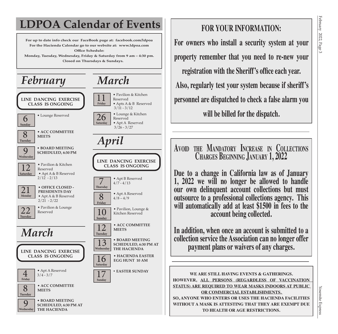## **LDPOA Calendar of Events**

**For up to date info check our FaceBook page at: facebook.com/ldpoa For the Hacienda Calendar go to our website at: www.ldpoa.com Office Schedule:**

**Monday, Tuesday, Wednesday, Friday & Saturday from 9 am – 4:30 pm. Closed on Thursdays & Sundays.** 

#### *February* • **HACIENDA EASTER** 16 **EGG HUNT 10 AM Saturday** • Pavilion & Kitchen Reserved • Apts A & B Reserved  $3/11 - 3/12$ 11  **Friday • EASTER SUNDAY** 17  **Sunday LINE DANCING EXERCISE CLASS IS ONGOING** • **OFFICE CLOSED - PRESIDENTS DAY** • Apt A & B Reserved  $2/21 - 2/22$  $\overline{21}$  Monday • Pavilion & Kitchen Reserved • Apt A & B Reserved  $2/12 - 2/13$ 12 **Saturday** • **ACC COMMITTEE** 8 **MEETS Tuesday** • **BOARD MEETING** 9 **SCHEDULED, 6:30 PM Wednesday**  $\overline{22}$   $\overline{22}$  Reserved **Tuesday**  $\overline{8}$   $\sqrt{\frac{4}{8} - \frac{4}{9}}$ **Friday 10** Eavilion, Lounge & **Sunday** *March* 6 **Counge Reserved Sunday**  *March* • **ACC COMMITTEE** 8 **MEETS Tuesday** • **BOARD MEETING SCHEDULED, 6:30 PM AT THE HACIENDA**  $\mathbf Q$  **Wednesday**  $\overline{4}$   $\overline{\phantom{1}3/4}$  - 3/7  **Friday** • Lounge & Kitchen Reserved • Apt A Reserved  $3/26 - 3/27$ 26  **Saturday LINE DANCING EXERCISE CLASS IS ONGOING**  *April* • **ACC COMMITTEE** 12 **MEETS Tuesday** • **BOARD MEETING THE HACIENDA** 13  **Wednesday** • Apt B Reserved  $4/7 - 4/13$  **Thursday CLASS IS ONGOING**

**SCHEDULED, 6:30 PM AT LINE DANCING EXERCISE** 

### **FOR YOUR INFORMATION:**

**For owners who install a security system at your property remember that you need to re-new your registration with the Sheriff's office each year. Also, regularly test your system because if sheriff's personnel are dispatched to check a false alarm you will be billed for the dispatch.** 

### **Avoid the Mandatory Increase in Collections Charges Beginning January 1, 2022**

**Due to a change in California law as of January 1, 2022 we will no longer be allowed to handle our own delinquent account collections but must outsource to a professional collections agency. This will automatically add at least \$1500 in fees to the account being collected.**

**In addition, when once an account is submitted to a collection service the Association can no longer offer payment plans or waivers of any charges.**

**WE ARE STILL HAVING EVENTS & GATHERINGS. HOWEVER, ALL PERSONS (REGARDLESS OF VACCINATION STATUS) ARE REQUIRED TO WEAR MASKS INDOORS AT PUBLIC OR COMMERCIAL ESTABLISHMENTS. SO, ANYONE WHO ENTERS OR USES THE HACIENDA FACILITIES WITHOUT A MASK IS ATTESTING THAT THEY ARE EXEMPT DUE TO HEALTH OR AGE RESTRICTIONS.**